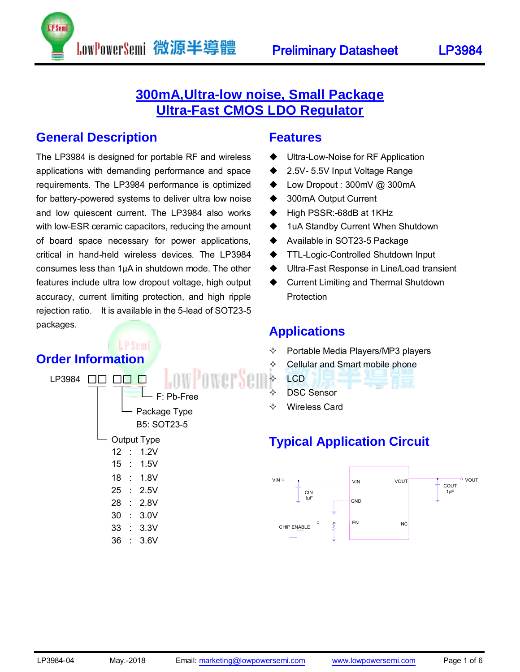

### **General Description**

The LP3984 is designed for portable RF and wireless applications with demanding performance and space requirements. The LP3984 performance is optimized for battery-powered systems to deliver ultra low noise and low quiescent current. The LP3984 also works with low-ESR ceramic capacitors, reducing the amount of board space necessary for power applications, critical in hand-held wireless devices. The LP3984 consumes less than 1µA in shutdown mode. The other features include ultra low dropout voltage, high output accuracy, current limiting protection, and high ripple rejection ratio. It is available in the 5-lead of SOT23-5 packages.

P Sem

LowPowerSemi 微源半導體

## **Order Information**

| LP3984 |    |                | F: Pb-Free                         |
|--------|----|----------------|------------------------------------|
|        |    |                | Package Type<br><b>B5: SOT23-5</b> |
|        |    |                | Output Type                        |
|        | 12 | $\mathbf{L}$   | 1.2V                               |
|        |    |                | 15 : 1.5V                          |
|        | 18 | $\sim$ 1       | 1.8V                               |
|        | 25 |                | $\therefore$ 2.5V                  |
|        | 28 |                | $\therefore$ 2.8V                  |
|        | 30 | $\mathbb{R}^2$ | 3.0V                               |
|        | 33 | $\mathcal{A}$  | 3.3V                               |
|        | 36 | t              | 3.6V                               |
|        |    |                |                                    |

### **Features**

- Ultra-Low-Noise for RF Application
- ◆ 2.5V- 5.5V Input Voltage Range
- ◆ Low Dropout : 300mV @ 300mA
- ◆ 300mA Output Current
- ◆ High PSSR:-68dB at 1KHz
- ◆ 1uA Standby Current When Shutdown
- ◆ Available in SOT23-5 Package
- ◆ TTL-Logic-Controlled Shutdown Input
- Ultra-Fast Response in Line/Load transient
- ◆ Current Limiting and Thermal Shutdown Protection

### **Applications**

- $\Diamond$  Portable Media Players/MP3 players
- Cellular and Smart mobile phone
- $\div$  LCD
	- DSC Sensor
- Wireless Card

## **Typical Application Circuit**

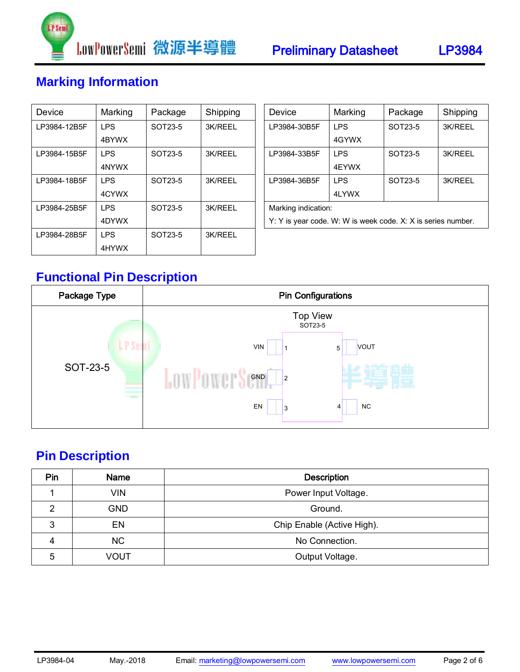



## **Marking Information**

| Device       | Marking    | Package | Shipping |  |
|--------------|------------|---------|----------|--|
| LP3984-12B5F | I PS       | SOT23-5 | 3K/RFFI  |  |
|              | 4BYWX      |         |          |  |
| LP3984-15B5F | I PS       | SOT23-5 | 3K/REEL  |  |
|              | 4NYWX      |         |          |  |
| LP3984-18B5F | <b>IPS</b> | SOT23-5 | 3K/RFFI  |  |
|              | 4CYWX      |         |          |  |
| LP3984-25B5F | <b>IPS</b> | SOT23-5 | 3K/REEL  |  |
|              | 4DYWX      |         |          |  |
| LP3984-28B5F | <b>IPS</b> | SOT23-5 | 3K/REEL  |  |
|              | 4HYWX      |         |          |  |

| Device                                                       | Marking | Package | Shipping |  |  |
|--------------------------------------------------------------|---------|---------|----------|--|--|
| LP3984-30B5F                                                 | I PS    | SOT23-5 | 3K/REEL  |  |  |
|                                                              | 4GYWX   |         |          |  |  |
| LP3984-33B5F                                                 | I PS    | SOT23-5 | 3K/REEL  |  |  |
|                                                              | 4FYWX   |         |          |  |  |
| LP3984-36B5F                                                 | I PS    | SOT23-5 | 3K/REEL  |  |  |
|                                                              | 4LYWX   |         |          |  |  |
| Marking indication:                                          |         |         |          |  |  |
| Y: Y is year code. W: W is week code. X: X is series number. |         |         |          |  |  |

## **Functional Pin Description**



## **Pin Description**

| Pin | Name       | <b>Description</b>         |  |  |  |
|-----|------------|----------------------------|--|--|--|
|     | <b>VIN</b> | Power Input Voltage.       |  |  |  |
| ⌒   | <b>GND</b> | Ground.                    |  |  |  |
| 3   | EN         | Chip Enable (Active High). |  |  |  |
| 4   | NC         | No Connection.             |  |  |  |
| 5   | VOUT       | Output Voltage.            |  |  |  |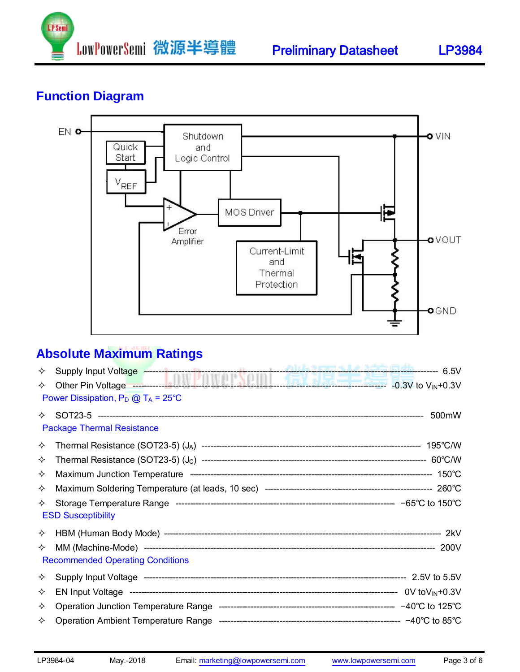

## **Function Diagram**



## **Absolute Maximum Ratings**

| ✧ | Supply Input Voltage <b>Constitution of the Constitution of the Constitution</b> of the Constitution of the Constitution of the Constitution of the Constitution of the Constitution of the Constitution of the Constitution of the |  |
|---|-------------------------------------------------------------------------------------------------------------------------------------------------------------------------------------------------------------------------------------|--|
| ✧ | Power Dissipation, $P_D @ T_A = 25^{\circ}C$                                                                                                                                                                                        |  |
| ✧ | <b>Package Thermal Resistance</b>                                                                                                                                                                                                   |  |
| ✧ |                                                                                                                                                                                                                                     |  |
| ✧ |                                                                                                                                                                                                                                     |  |
| ✧ |                                                                                                                                                                                                                                     |  |
| ✧ |                                                                                                                                                                                                                                     |  |
| ✧ | <b>ESD Susceptibility</b>                                                                                                                                                                                                           |  |
| ✧ |                                                                                                                                                                                                                                     |  |
| ✧ | <b>Recommended Operating Conditions</b>                                                                                                                                                                                             |  |
| ✧ |                                                                                                                                                                                                                                     |  |
| ✧ |                                                                                                                                                                                                                                     |  |
| ✧ |                                                                                                                                                                                                                                     |  |
| ✧ |                                                                                                                                                                                                                                     |  |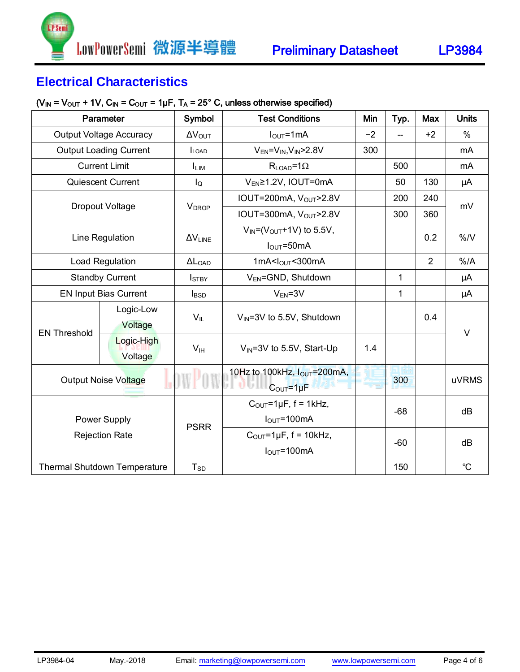## **Electrical Characteristics**

**P** Sem

#### $(V_{IN} = V_{OUT} + 1V, C_{IN} = C_{OUT} = 1\mu F, T_A = 25^{\circ} C,$  unless otherwise specified)

| Parameter                           |                               | Symbol                   | <b>Test Conditions</b>                             | Min  | Typ.         | Max            | <b>Units</b> |  |
|-------------------------------------|-------------------------------|--------------------------|----------------------------------------------------|------|--------------|----------------|--------------|--|
| <b>Output Voltage Accuracy</b>      |                               | $\Delta V_{\text{OUT}}$  | $I_{\text{OUT}} = 1 \text{mA}$                     | $-2$ |              | $+2$           | %            |  |
|                                     | <b>Output Loading Current</b> | <b>LOAD</b>              | $V_{EN} = V_{IN}$ , $V_{IN}$ > 2.8V                | 300  |              |                | mA           |  |
|                                     | <b>Current Limit</b>          | <b>LIM</b>               | $R_{LOAD} = 1\Omega$                               |      | 500          |                | mA           |  |
|                                     | Quiescent Current             | $I_{\mathsf{Q}}$         | V <sub>EN</sub> ≥1.2V, IOUT=0mA                    |      | 50           | 130            | μA           |  |
|                                     |                               | <b>VDROP</b>             | IOUT=200mA, VOUT>2.8V                              |      | 200          | 240            | mV           |  |
|                                     | Dropout Voltage               |                          | IOUT=300mA, V <sub>OUT</sub> >2.8V                 |      | 300          | 360            |              |  |
|                                     | Line Regulation               | $\Delta V_{\text{LINE}}$ | $V_{IN} = (V_{OUT} + 1V)$ to 5.5V,<br>$IOUT=50mA$  |      |              | 0.2            | $\%$ /V      |  |
|                                     | Load Regulation               | $\Delta L_{OAD}$         | 1mA< $I_{OUT}$ < $300$ mA                          |      |              | $\overline{2}$ | $%$ /A       |  |
| <b>Standby Current</b>              |                               | <b>I</b> <sub>STBY</sub> | V <sub>EN</sub> =GND, Shutdown                     |      | 1            |                | μA           |  |
| <b>EN Input Bias Current</b>        |                               | <b>I</b> BSD             | $V_{EN} = 3V$                                      |      | $\mathbf{1}$ |                | μA           |  |
| <b>EN Threshold</b>                 | Logic-Low<br>Voltage          | $V_{IL}$                 | $V_{IN}$ =3V to 5.5V, Shutdown                     |      |              | 0.4            | $\vee$       |  |
|                                     | Logic-High<br>Voltage         | V <sub>IH</sub>          | $V_{IN}$ =3V to 5.5V, Start-Up                     | 1.4  |              |                |              |  |
| <b>Output Noise Voltage</b>         |                               |                          | 10Hz to 100kHz, $I_{OUT}$ =200mA,<br>$COUT=1\mu F$ |      | 300          |                | uVRMS        |  |
|                                     |                               | <b>PSRR</b>              | $COUT=1\mu F, f = 1\kappa Hz,$                     |      | $-68$        |                | dB           |  |
| Power Supply                        |                               |                          | $I_{\text{OUT}} = 100 \text{mA}$                   |      |              |                |              |  |
| <b>Rejection Rate</b>               |                               |                          | $COUT=1\mu F$ , f = 10kHz,                         |      | $-60$        |                | dB           |  |
|                                     |                               |                          | $I_{\text{OUT}} = 100 \text{mA}$                   |      |              |                |              |  |
| <b>Thermal Shutdown Temperature</b> |                               | $T_{SD}$                 |                                                    |      | 150          |                | $^{\circ}C$  |  |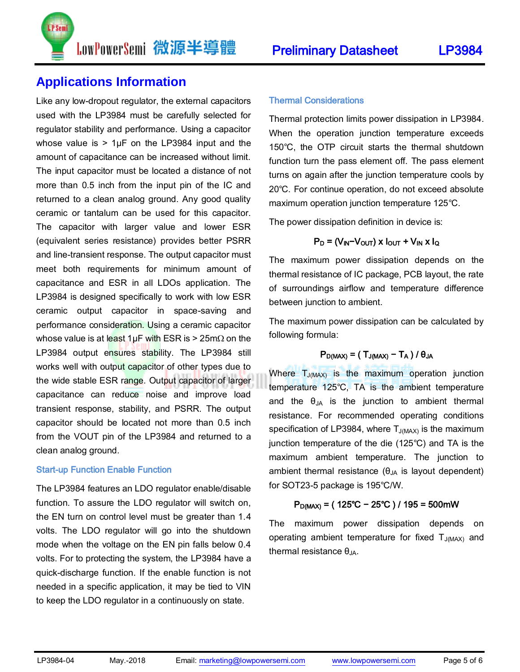### **Applications Information**

P Sem

Like any low-dropout regulator, the external capacitors used with the LP3984 must be carefully selected for regulator stability and performance. Using a capacitor whose value is  $> 1 \mu$ F on the LP3984 input and the amount of capacitance can be increased without limit. The input capacitor must be located a distance of not more than 0.5 inch from the input pin of the IC and returned to a clean analog ground. Any good quality ceramic or tantalum can be used for this capacitor. The capacitor with larger value and lower ESR (equivalent series resistance) provides better PSRR and line-transient response. The output capacitor must meet both requirements for minimum amount of capacitance and ESR in all LDOs application. The LP3984 is designed specifically to work with low ESR ceramic output capacitor in space-saving and performance consideration. Using a ceramic capacitor whose value is at least 1µF with ESR is > 25m $\Omega$  on the LP3984 output ensures stability. The LP3984 still works well with output capacitor of other types due to the wide stable ESR range. Output capacitor of larger capacitance can reduce noise and improve load transient response, stability, and PSRR. The output capacitor should be located not more than 0.5 inch from the VOUT pin of the LP3984 and returned to a clean analog ground.

#### Start-up Function Enable Function

The LP3984 features an LDO regulator enable/disable function. To assure the LDO regulator will switch on, the EN turn on control level must be greater than 1.4 volts. The LDO regulator will go into the shutdown mode when the voltage on the EN pin falls below 0.4 volts. For to protecting the system, the LP3984 have a quick-discharge function. If the enable function is not needed in a specific application, it may be tied to VIN to keep the LDO regulator in a continuously on state.

Thermal protection limits power dissipation in LP3984. When the operation junction temperature exceeds 150℃, the OTP circuit starts the thermal shutdown function turn the pass element off. The pass element turns on again after the junction temperature cools by 20℃. For continue operation, do not exceed absolute maximum operation junction temperature 125℃.

The power dissipation definition in device is:

### $P_D = (V_{IN} - V_{OUT}) \times I_{OUT} + V_{IN} \times I_{Q}$

The maximum power dissipation depends on the thermal resistance of IC package, PCB layout, the rate of surroundings airflow and temperature difference between junction to ambient.

The maximum power dissipation can be calculated by following formula:

### $P_{D(MAX)} = (T_{J(MAX)} - T_A) / \theta_{JA}$

Where  $T_{J(MAX)}$  is the maximum operation junction temperature 125℃, TA is the ambient temperature and the  $\theta_{JA}$  is the junction to ambient thermal resistance. For recommended operating conditions specification of LP3984, where  $T_{J(MAX)}$  is the maximum junction temperature of the die (125℃) and TA is the maximum ambient temperature. The junction to ambient thermal resistance  $(\theta_{JA}$  is layout dependent) for SOT23-5 package is 195℃/W.

### PD(MAX) = ( 125℃ − 25℃ ) / 195 = 500mW

The maximum power dissipation depends on operating ambient temperature for fixed  $T_{J(MAX)}$  and thermal resistance  $θ_{JA}$ .